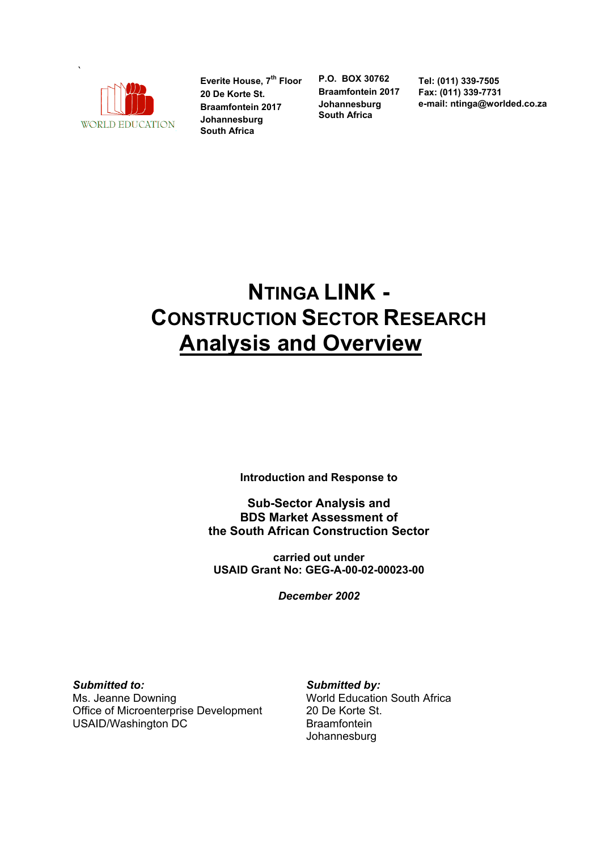

Everite House, 7<sup>th</sup> Floor **20 De Korte St. Braamfontein 2017 Johannesburg South Africa**

**P.O. BOX 30762 Braamfontein 2017 Johannesburg South Africa**

**Tel: (011) 339-7505 Fax: (011) 339-7731 e-mail: ntinga@worlded.co.za** 

# **NTINGA LINK - CONSTRUCTION SECTOR RESEARCH Analysis and Overview**

**Introduction and Response to** 

**Sub-Sector Analysis and BDS Market Assessment of the South African Construction Sector**

**carried out under USAID Grant No: GEG-A-00-02-00023-00**

*December 2002*

*Submitted to:*  Ms. Jeanne Downing Office of Microenterprise Development USAID/Washington DC

*Submitted by:* 

World Education South Africa 20 De Korte St. Braamfontein Johannesburg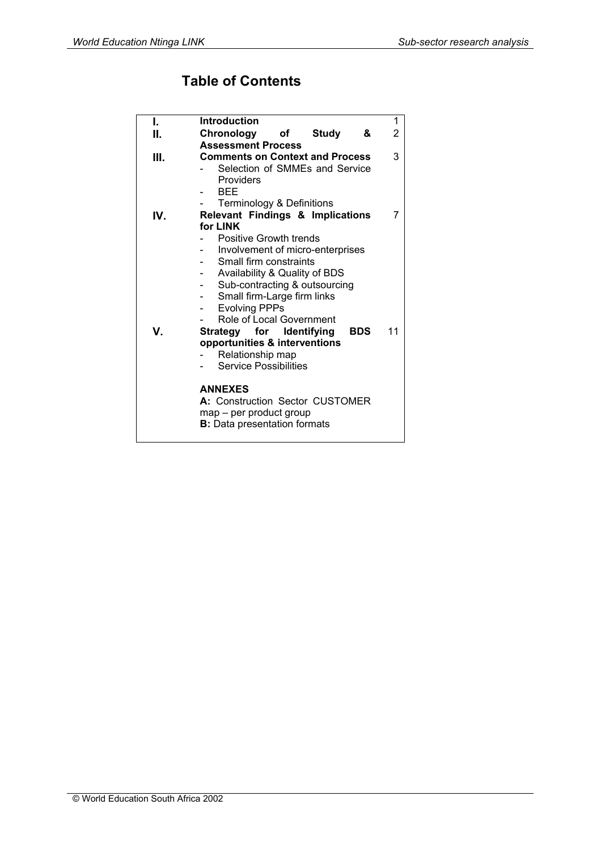# **Table of Contents**

| L   | <b>Introduction</b>                                        | 1  |  |  |  |  |
|-----|------------------------------------------------------------|----|--|--|--|--|
| II. | Chronology<br>&<br>of<br><b>Study</b>                      | 2  |  |  |  |  |
|     | <b>Assessment Process</b>                                  |    |  |  |  |  |
| Ш.  | <b>Comments on Context and Process</b>                     |    |  |  |  |  |
|     | Selection of SMMEs and Service                             |    |  |  |  |  |
|     | Providers                                                  |    |  |  |  |  |
|     | <b>BEE</b>                                                 |    |  |  |  |  |
|     | <b>Terminology &amp; Definitions</b>                       | 7  |  |  |  |  |
| IV. | Relevant Findings & Implications                           |    |  |  |  |  |
|     | for LINK<br>Positive Growth trends                         |    |  |  |  |  |
|     |                                                            |    |  |  |  |  |
|     | Involvement of micro-enterprises<br>Small firm constraints |    |  |  |  |  |
|     | Availability & Quality of BDS                              |    |  |  |  |  |
|     | Sub-contracting & outsourcing                              |    |  |  |  |  |
|     | Small firm-Large firm links                                |    |  |  |  |  |
|     | <b>Evolving PPPs</b>                                       |    |  |  |  |  |
|     | Role of Local Government                                   |    |  |  |  |  |
| V.  | Strategy for Identifying<br><b>BDS</b>                     | 11 |  |  |  |  |
|     | opportunities & interventions                              |    |  |  |  |  |
|     | Relationship map                                           |    |  |  |  |  |
|     | <b>Service Possibilities</b>                               |    |  |  |  |  |
|     |                                                            |    |  |  |  |  |
|     | <b>ANNEXES</b>                                             |    |  |  |  |  |
|     | A: Construction Sector CUSTOMER                            |    |  |  |  |  |
|     | map - per product group                                    |    |  |  |  |  |
|     | <b>B:</b> Data presentation formats                        |    |  |  |  |  |
|     |                                                            |    |  |  |  |  |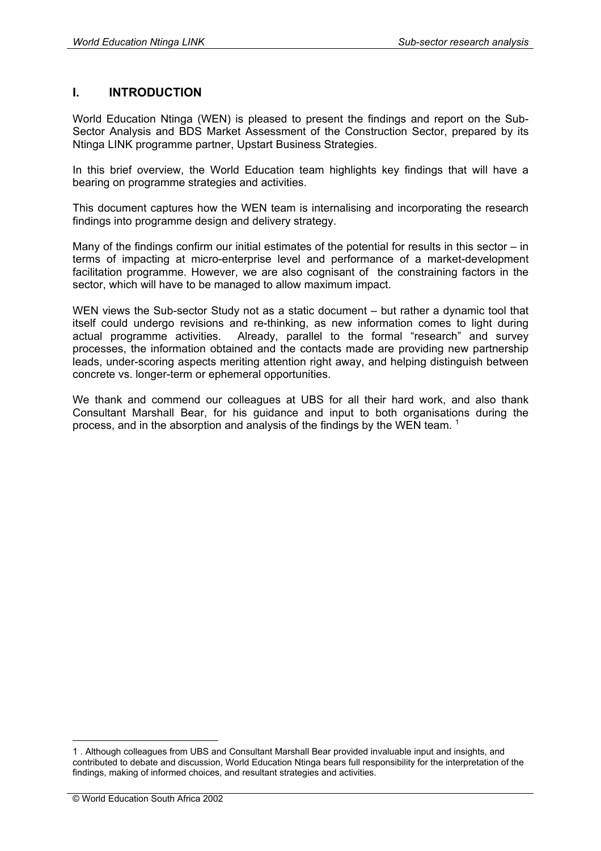# **I. INTRODUCTION**

World Education Ntinga (WEN) is pleased to present the findings and report on the Sub-Sector Analysis and BDS Market Assessment of the Construction Sector, prepared by its Ntinga LINK programme partner, Upstart Business Strategies.

In this brief overview, the World Education team highlights key findings that will have a bearing on programme strategies and activities.

This document captures how the WEN team is internalising and incorporating the research findings into programme design and delivery strategy.

Many of the findings confirm our initial estimates of the potential for results in this sector – in terms of impacting at micro-enterprise level and performance of a market-development facilitation programme. However, we are also cognisant of the constraining factors in the sector, which will have to be managed to allow maximum impact.

WEN views the Sub-sector Study not as a static document – but rather a dynamic tool that itself could undergo revisions and re-thinking, as new information comes to light during actual programme activities. Already, parallel to the formal "research" and survey processes, the information obtained and the contacts made are providing new partnership leads, under-scoring aspects meriting attention right away, and helping distinguish between concrete vs. longer-term or ephemeral opportunities.

We thank and commend our colleagues at UBS for all their hard work, and also thank Consultant Marshall Bear, for his guidance and input to both organisations during the process, and in the absorption and analysis of the findings by the WEN team.<sup>1</sup>

<u>.</u>

<sup>1 .</sup> Although colleagues from UBS and Consultant Marshall Bear provided invaluable input and insights, and contributed to debate and discussion, World Education Ntinga bears full responsibility for the interpretation of the findings, making of informed choices, and resultant strategies and activities.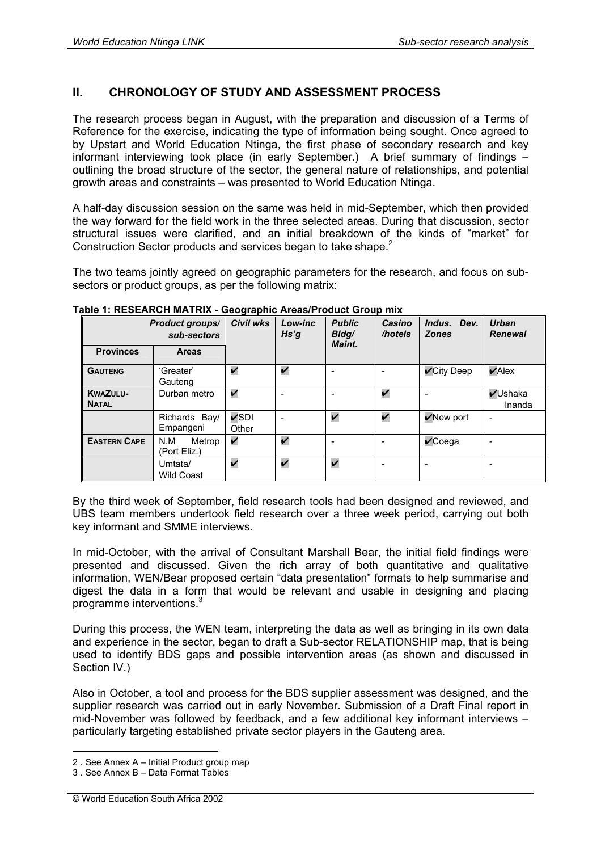# **II. CHRONOLOGY OF STUDY AND ASSESSMENT PROCESS**

The research process began in August, with the preparation and discussion of a Terms of Reference for the exercise, indicating the type of information being sought. Once agreed to by Upstart and World Education Ntinga, the first phase of secondary research and key informant interviewing took place (in early September.) A brief summary of findings – outlining the broad structure of the sector, the general nature of relationships, and potential growth areas and constraints – was presented to World Education Ntinga.

A half-day discussion session on the same was held in mid-September, which then provided the way forward for the field work in the three selected areas. During that discussion, sector structural issues were clarified, and an initial breakdown of the kinds of "market" for Construction Sector products and services began to take shape.<sup>2</sup>

The two teams jointly agreed on geographic parameters for the research, and focus on subsectors or product groups, as per the following matrix:

| <b>Product groups/</b><br>sub-sectors |                               | Civil wks               | Low-inc<br>Hs'g | <b>Public</b><br>Bldg/<br>Maint. | Casino<br>/hotels  | Indus. Dev.<br><b>Zones</b> | <b>Urban</b><br><b>Renewal</b> |  |
|---------------------------------------|-------------------------------|-------------------------|-----------------|----------------------------------|--------------------|-----------------------------|--------------------------------|--|
| <b>Provinces</b>                      | <b>Areas</b>                  |                         |                 |                                  |                    |                             |                                |  |
| <b>GAUTENG</b>                        | 'Greater'<br>Gauteng          | V                       | V               | -                                |                    | $\mathcal V$ City Deep      | $\nu$ Alex                     |  |
| <b>KWAZULU-</b><br><b>NATAL</b>       | Durban metro                  | V                       | $\blacksquare$  | $\overline{\phantom{0}}$         | V                  |                             | <b>√Ushaka</b><br>Inanda       |  |
|                                       | Richards Bay/<br>Empangeni    | $\nu$ SDI<br>Other      | $\qquad \qquad$ | V                                | $\boldsymbol{\nu}$ | $\sqrt{N}$ ew port          | $\overline{\phantom{a}}$       |  |
| <b>EASTERN CAPE</b>                   | N.M<br>Metrop<br>(Port Eliz.) | $\overline{\mathbf{v}}$ | $\checkmark$    | $\overline{\phantom{0}}$         |                    | $\sqrt{c}$ oega             |                                |  |
|                                       | Umtata/<br><b>Wild Coast</b>  | V                       | V               | V                                |                    | $\overline{\phantom{0}}$    |                                |  |

#### **Table 1: RESEARCH MATRIX - Geographic Areas/Product Group mix**

By the third week of September, field research tools had been designed and reviewed, and UBS team members undertook field research over a three week period, carrying out both key informant and SMME interviews.

In mid-October, with the arrival of Consultant Marshall Bear, the initial field findings were presented and discussed. Given the rich array of both quantitative and qualitative information, WEN/Bear proposed certain "data presentation" formats to help summarise and digest the data in a form that would be relevant and usable in designing and placing programme interventions.<sup>3</sup>

During this process, the WEN team, interpreting the data as well as bringing in its own data and experience in the sector, began to draft a Sub-sector RELATIONSHIP map, that is being used to identify BDS gaps and possible intervention areas (as shown and discussed in Section IV.)

Also in October, a tool and process for the BDS supplier assessment was designed, and the supplier research was carried out in early November. Submission of a Draft Final report in mid-November was followed by feedback, and a few additional key informant interviews – particularly targeting established private sector players in the Gauteng area.

<sup>1</sup> 2 . See Annex A – Initial Product group map

<sup>3 .</sup> See Annex B – Data Format Tables

<sup>©</sup> World Education South Africa 2002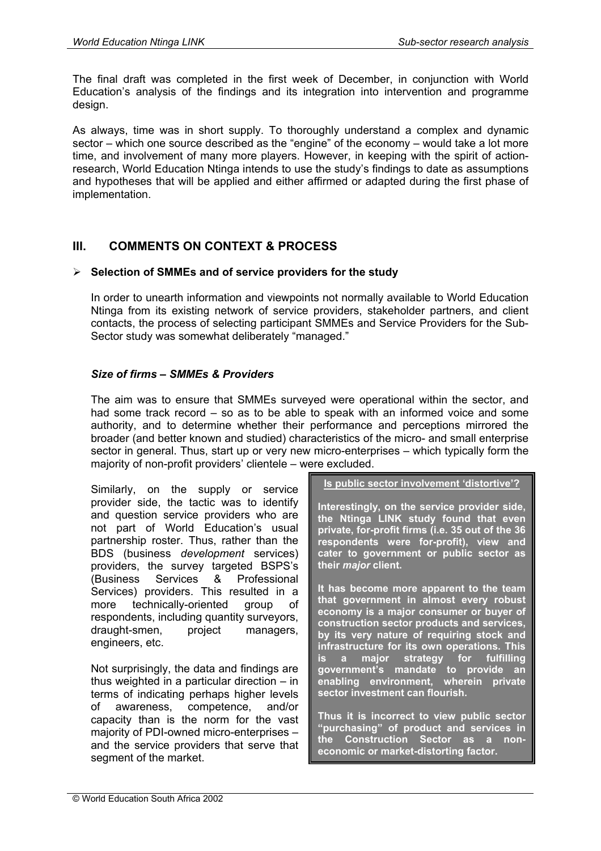The final draft was completed in the first week of December, in conjunction with World Education's analysis of the findings and its integration into intervention and programme design.

As always, time was in short supply. To thoroughly understand a complex and dynamic sector – which one source described as the "engine" of the economy – would take a lot more time, and involvement of many more players. However, in keeping with the spirit of actionresearch, World Education Ntinga intends to use the study's findings to date as assumptions and hypotheses that will be applied and either affirmed or adapted during the first phase of implementation.

# **III. COMMENTS ON CONTEXT & PROCESS**

#### **Selection of SMMEs and of service providers for the study**

In order to unearth information and viewpoints not normally available to World Education Ntinga from its existing network of service providers, stakeholder partners, and client contacts, the process of selecting participant SMMEs and Service Providers for the Sub-Sector study was somewhat deliberately "managed."

#### *Size of firms – SMMEs & Providers*

The aim was to ensure that SMMEs surveyed were operational within the sector, and had some track record – so as to be able to speak with an informed voice and some authority, and to determine whether their performance and perceptions mirrored the broader (and better known and studied) characteristics of the micro- and small enterprise sector in general. Thus, start up or very new micro-enterprises – which typically form the majority of non-profit providers' clientele – were excluded.

Similarly, on the supply or service provider side, the tactic was to identify and question service providers who are not part of World Education's usual partnership roster. Thus, rather than the BDS (business *development* services) providers, the survey targeted BSPS's (Business Services & Professional Services) providers. This resulted in a more technically-oriented group of respondents, including quantity surveyors, draught-smen, project managers, engineers, etc.

Not surprisingly, the data and findings are thus weighted in a particular direction – in terms of indicating perhaps higher levels of awareness, competence, and/or capacity than is the norm for the vast majority of PDI-owned micro-enterprises – and the service providers that serve that segment of the market.

**Is public sector involvement 'distortive'?**

**Interestingly, on the service provider side, the Ntinga LINK study found that even private, for-profit firms (i.e. 35 out of the 36 respondents were for-profit), view and cater to government or public sector as their** *major* **client.** 

**It has become more apparent to the team that government in almost every robust economy is a major consumer or buyer of construction sector products and services, by its very nature of requiring stock and infrastructure for its own operations. This is a major strategy for fulfilling government's mandate to provide an enabling environment, wherein private sector investment can flourish.** 

**Thus it is incorrect to view public sector "purchasing" of product and services in the Construction Sector as a noneconomic or market-distorting factor.**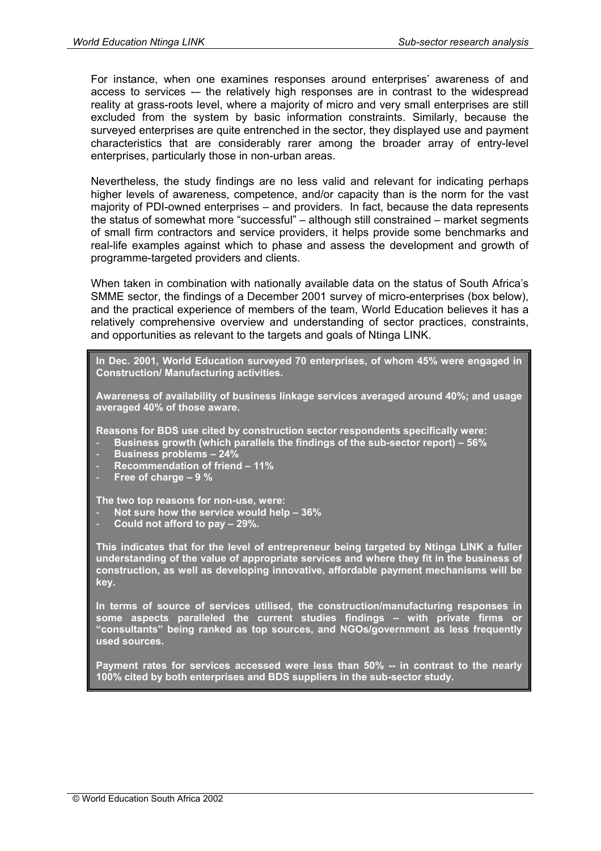For instance, when one examines responses around enterprises' awareness of and access to services -– the relatively high responses are in contrast to the widespread reality at grass-roots level, where a majority of micro and very small enterprises are still excluded from the system by basic information constraints. Similarly, because the surveyed enterprises are quite entrenched in the sector, they displayed use and payment characteristics that are considerably rarer among the broader array of entry-level enterprises, particularly those in non-urban areas.

Nevertheless, the study findings are no less valid and relevant for indicating perhaps higher levels of awareness, competence, and/or capacity than is the norm for the vast majority of PDI-owned enterprises – and providers. In fact, because the data represents the status of somewhat more "successful" – although still constrained – market segments of small firm contractors and service providers, it helps provide some benchmarks and real-life examples against which to phase and assess the development and growth of programme-targeted providers and clients.

When taken in combination with nationally available data on the status of South Africa's SMME sector, the findings of a December 2001 survey of micro-enterprises (box below), and the practical experience of members of the team, World Education believes it has a relatively comprehensive overview and understanding of sector practices, constraints, and opportunities as relevant to the targets and goals of Ntinga LINK.

**In Dec. 2001, World Education surveyed 70 enterprises, of whom 45% were engaged in Construction/ Manufacturing activities.** 

**Awareness of availability of business linkage services averaged around 40%; and usage averaged 40% of those aware.** 

**Reasons for BDS use cited by construction sector respondents specifically were:** 

- **Business growth (which parallels the findings of the sub-sector report) 56%**
- **Business problems 24%**
- **Recommendation of friend 11%**
- **Free of charge 9 %**

**The two top reasons for non-use, were:** 

- **Not sure how the service would help 36%**
- **Could not afford to pay 29%.**

**This indicates that for the level of entrepreneur being targeted by Ntinga LINK a fuller understanding of the value of appropriate services and where they fit in the business of construction, as well as developing innovative, affordable payment mechanisms will be key.** 

**In terms of source of services utilised, the construction/manufacturing responses in some aspects paralleled the current studies findings – with private firms or "consultants" being ranked as top sources, and NGOs/government as less frequently used sources.** 

**Payment rates for services accessed were less than 50% -- in contrast to the nearly 100% cited by both enterprises and BDS suppliers in the sub-sector study.**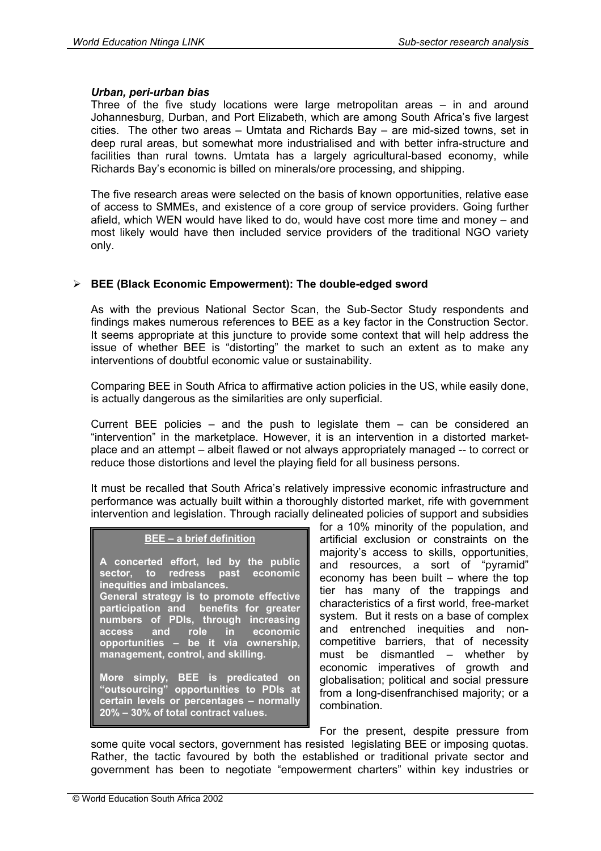#### *Urban, peri-urban bias*

Three of the five study locations were large metropolitan areas – in and around Johannesburg, Durban, and Port Elizabeth, which are among South Africa's five largest cities. The other two areas – Umtata and Richards Bay – are mid-sized towns, set in deep rural areas, but somewhat more industrialised and with better infra-structure and facilities than rural towns. Umtata has a largely agricultural-based economy, while Richards Bay's economic is billed on minerals/ore processing, and shipping.

The five research areas were selected on the basis of known opportunities, relative ease of access to SMMEs, and existence of a core group of service providers. Going further afield, which WEN would have liked to do, would have cost more time and money – and most likely would have then included service providers of the traditional NGO variety only.

# **BEE (Black Economic Empowerment): The double-edged sword**

As with the previous National Sector Scan, the Sub-Sector Study respondents and findings makes numerous references to BEE as a key factor in the Construction Sector. It seems appropriate at this juncture to provide some context that will help address the issue of whether BEE is "distorting" the market to such an extent as to make any interventions of doubtful economic value or sustainability.

Comparing BEE in South Africa to affirmative action policies in the US, while easily done, is actually dangerous as the similarities are only superficial.

Current BEE policies – and the push to legislate them – can be considered an "intervention" in the marketplace. However, it is an intervention in a distorted marketplace and an attempt – albeit flawed or not always appropriately managed -- to correct or reduce those distortions and level the playing field for all business persons.

It must be recalled that South Africa's relatively impressive economic infrastructure and performance was actually built within a thoroughly distorted market, rife with government intervention and legislation. Through racially delineated policies of support and subsidies

#### **BEE – a brief definition**

**A concerted effort, led by the public sector, to redress past economic inequities and imbalances. General strategy is to promote effective participation and benefits for greater numbers of PDIs, through increasing access and role in economic opportunities – be it via ownership, management, control, and skilling.** 

**More simply, BEE is predicated on "outsourcing" opportunities to PDIs at certain levels or percentages – normally 20% – 30% of total contract values.**

for a 10% minority of the population, and artificial exclusion or constraints on the majority's access to skills, opportunities, and resources, a sort of "pyramid" economy has been built – where the top tier has many of the trappings and characteristics of a first world, free-market system. But it rests on a base of complex and entrenched inequities and noncompetitive barriers, that of necessity must be dismantled – whether by economic imperatives of growth and globalisation; political and social pressure from a long-disenfranchised majority; or a combination.

For the present, despite pressure from some quite vocal sectors, government has resisted legislating BEE or imposing quotas. Rather, the tactic favoured by both the established or traditional private sector and government has been to negotiate "empowerment charters" within key industries or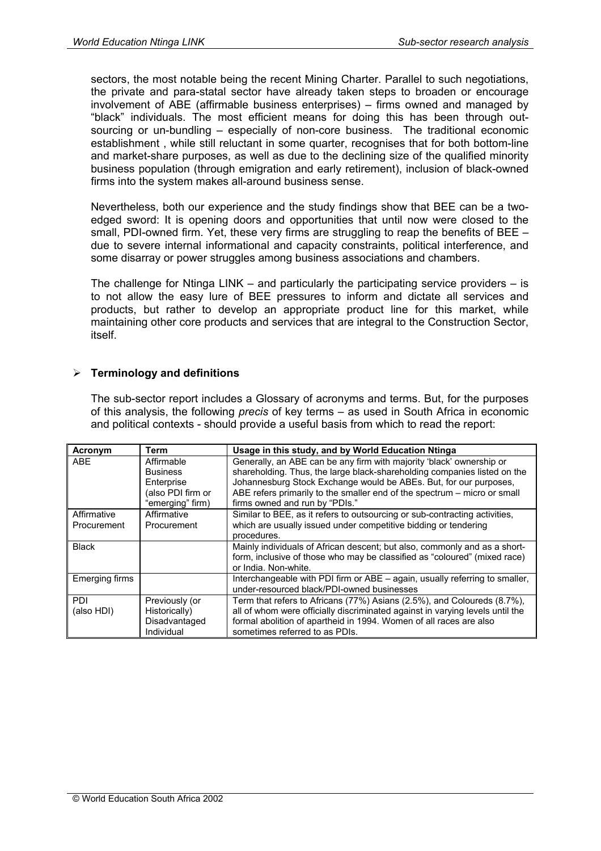sectors, the most notable being the recent Mining Charter. Parallel to such negotiations, the private and para-statal sector have already taken steps to broaden or encourage involvement of ABE (affirmable business enterprises) – firms owned and managed by "black" individuals. The most efficient means for doing this has been through outsourcing or un-bundling – especially of non-core business. The traditional economic establishment , while still reluctant in some quarter, recognises that for both bottom-line and market-share purposes, as well as due to the declining size of the qualified minority business population (through emigration and early retirement), inclusion of black-owned firms into the system makes all-around business sense.

Nevertheless, both our experience and the study findings show that BEE can be a twoedged sword: It is opening doors and opportunities that until now were closed to the small, PDI-owned firm. Yet, these very firms are struggling to reap the benefits of BEE – due to severe internal informational and capacity constraints, political interference, and some disarray or power struggles among business associations and chambers.

The challenge for Ntinga LINK – and particularly the participating service providers – is to not allow the easy lure of BEE pressures to inform and dictate all services and products, but rather to develop an appropriate product line for this market, while maintaining other core products and services that are integral to the Construction Sector, itself.

#### **Terminology and definitions**

The sub-sector report includes a Glossary of acronyms and terms. But, for the purposes of this analysis, the following *precis* of key terms – as used in South Africa in economic and political contexts - should provide a useful basis from which to read the report:

| Acronym        | Term              | Usage in this study, and by World Education Ntinga                            |
|----------------|-------------------|-------------------------------------------------------------------------------|
| ABE            | Affirmable        | Generally, an ABE can be any firm with majority 'black' ownership or          |
|                | <b>Business</b>   | shareholding. Thus, the large black-shareholding companies listed on the      |
|                | Enterprise        | Johannesburg Stock Exchange would be ABEs. But, for our purposes,             |
|                | (also PDI firm or | ABE refers primarily to the smaller end of the spectrum – micro or small      |
|                | "emerging" firm)  | firms owned and run by "PDIs."                                                |
| Affirmative    | Affirmative       | Similar to BEE, as it refers to outsourcing or sub-contracting activities,    |
| Procurement    | Procurement       | which are usually issued under competitive bidding or tendering               |
|                |                   | procedures.                                                                   |
| <b>Black</b>   |                   | Mainly individuals of African descent; but also, commonly and as a short-     |
|                |                   | form, inclusive of those who may be classified as "coloured" (mixed race)     |
|                |                   | or India. Non-white.                                                          |
| Emerging firms |                   | Interchangeable with PDI firm or ABE - again, usually referring to smaller,   |
|                |                   | under-resourced black/PDI-owned businesses                                    |
| PDI            | Previously (or    | Term that refers to Africans (77%) Asians (2.5%), and Coloureds (8.7%),       |
| (also HDI)     | Historically)     | all of whom were officially discriminated against in varying levels until the |
|                | Disadvantaged     | formal abolition of apartheid in 1994. Women of all races are also            |
|                | Individual        | sometimes referred to as PDIs.                                                |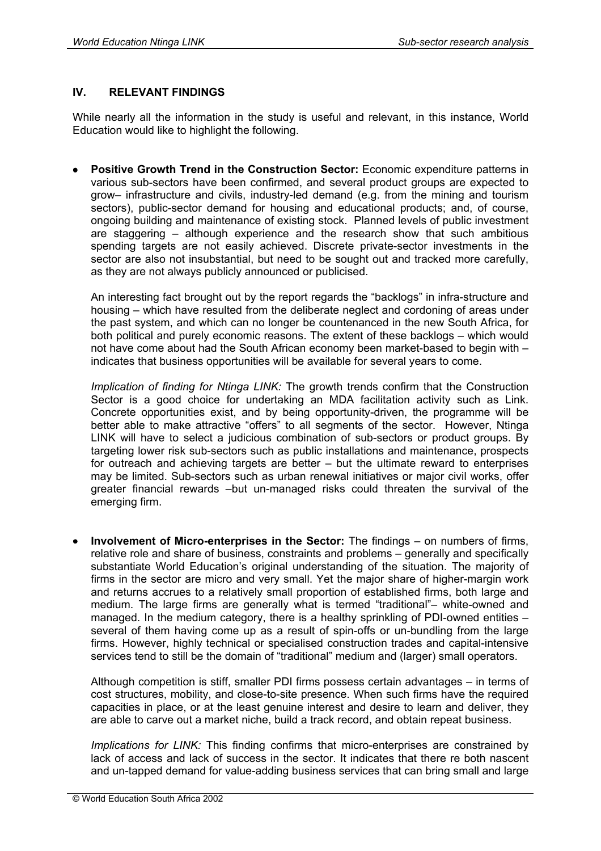#### **IV. RELEVANT FINDINGS**

While nearly all the information in the study is useful and relevant, in this instance, World Education would like to highlight the following.

• **Positive Growth Trend in the Construction Sector:** Economic expenditure patterns in various sub-sectors have been confirmed, and several product groups are expected to grow– infrastructure and civils, industry-led demand (e.g. from the mining and tourism sectors), public-sector demand for housing and educational products; and, of course, ongoing building and maintenance of existing stock. Planned levels of public investment are staggering – although experience and the research show that such ambitious spending targets are not easily achieved. Discrete private-sector investments in the sector are also not insubstantial, but need to be sought out and tracked more carefully, as they are not always publicly announced or publicised.

An interesting fact brought out by the report regards the "backlogs" in infra-structure and housing – which have resulted from the deliberate neglect and cordoning of areas under the past system, and which can no longer be countenanced in the new South Africa, for both political and purely economic reasons. The extent of these backlogs – which would not have come about had the South African economy been market-based to begin with – indicates that business opportunities will be available for several years to come.

*Implication of finding for Ntinga LINK:* The growth trends confirm that the Construction Sector is a good choice for undertaking an MDA facilitation activity such as Link. Concrete opportunities exist, and by being opportunity-driven, the programme will be better able to make attractive "offers" to all segments of the sector. However, Ntinga LINK will have to select a judicious combination of sub-sectors or product groups. By targeting lower risk sub-sectors such as public installations and maintenance, prospects for outreach and achieving targets are better – but the ultimate reward to enterprises may be limited. Sub-sectors such as urban renewal initiatives or major civil works, offer greater financial rewards –but un-managed risks could threaten the survival of the emerging firm.

• **Involvement of Micro-enterprises in the Sector:** The findings – on numbers of firms, relative role and share of business, constraints and problems – generally and specifically substantiate World Education's original understanding of the situation. The majority of firms in the sector are micro and very small. Yet the major share of higher-margin work and returns accrues to a relatively small proportion of established firms, both large and medium. The large firms are generally what is termed "traditional"– white-owned and managed. In the medium category, there is a healthy sprinkling of PDI-owned entities – several of them having come up as a result of spin-offs or un-bundling from the large firms. However, highly technical or specialised construction trades and capital-intensive services tend to still be the domain of "traditional" medium and (larger) small operators.

Although competition is stiff, smaller PDI firms possess certain advantages – in terms of cost structures, mobility, and close-to-site presence. When such firms have the required capacities in place, or at the least genuine interest and desire to learn and deliver, they are able to carve out a market niche, build a track record, and obtain repeat business.

*Implications for LINK:* This finding confirms that micro-enterprises are constrained by lack of access and lack of success in the sector. It indicates that there re both nascent and un-tapped demand for value-adding business services that can bring small and large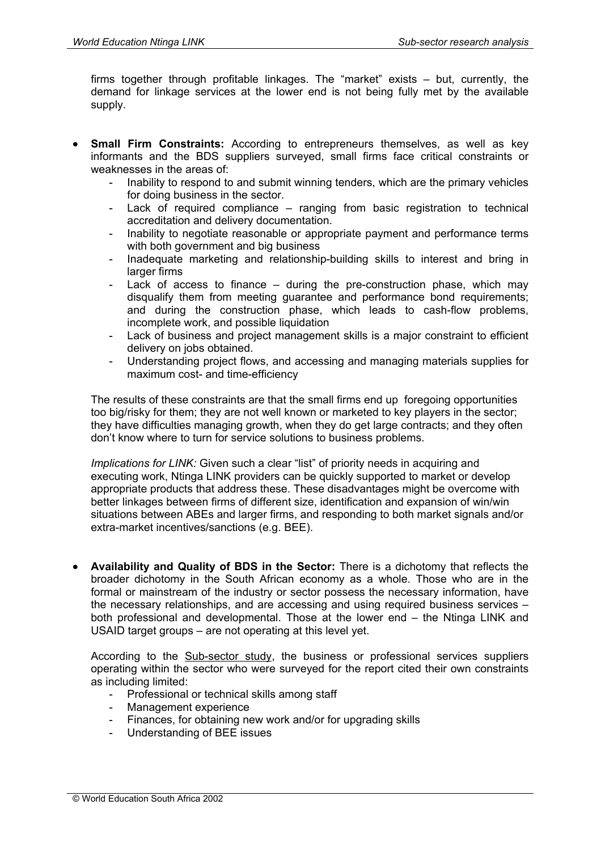firms together through profitable linkages. The "market" exists – but, currently, the demand for linkage services at the lower end is not being fully met by the available supply.

- **Small Firm Constraints:** According to entrepreneurs themselves, as well as key informants and the BDS suppliers surveyed, small firms face critical constraints or weaknesses in the areas of:
	- Inability to respond to and submit winning tenders, which are the primary vehicles for doing business in the sector.
	- Lack of required compliance ranging from basic registration to technical accreditation and delivery documentation.
	- Inability to negotiate reasonable or appropriate payment and performance terms with both government and big business
	- Inadequate marketing and relationship-building skills to interest and bring in larger firms
	- Lack of access to finance during the pre-construction phase, which may disqualify them from meeting guarantee and performance bond requirements; and during the construction phase, which leads to cash-flow problems, incomplete work, and possible liquidation
	- Lack of business and project management skills is a major constraint to efficient delivery on jobs obtained.
	- Understanding project flows, and accessing and managing materials supplies for maximum cost- and time-efficiency

The results of these constraints are that the small firms end up foregoing opportunities too big/risky for them; they are not well known or marketed to key players in the sector; they have difficulties managing growth, when they do get large contracts; and they often don't know where to turn for service solutions to business problems.

*Implications for LINK:* Given such a clear "list" of priority needs in acquiring and executing work, Ntinga LINK providers can be quickly supported to market or develop appropriate products that address these. These disadvantages might be overcome with better linkages between firms of different size, identification and expansion of win/win situations between ABEs and larger firms, and responding to both market signals and/or extra-market incentives/sanctions (e.g. BEE).

• **Availability and Quality of BDS in the Sector:** There is a dichotomy that reflects the broader dichotomy in the South African economy as a whole. Those who are in the formal or mainstream of the industry or sector possess the necessary information, have the necessary relationships, and are accessing and using required business services – both professional and developmental. Those at the lower end – the Ntinga LINK and USAID target groups – are not operating at this level yet.

According to the **Sub-sector study**, the business or professional services suppliers operating within the sector who were surveyed for the report cited their own constraints as including limited:

- Professional or technical skills among staff
- Management experience
- Finances, for obtaining new work and/or for upgrading skills
- Understanding of BEE issues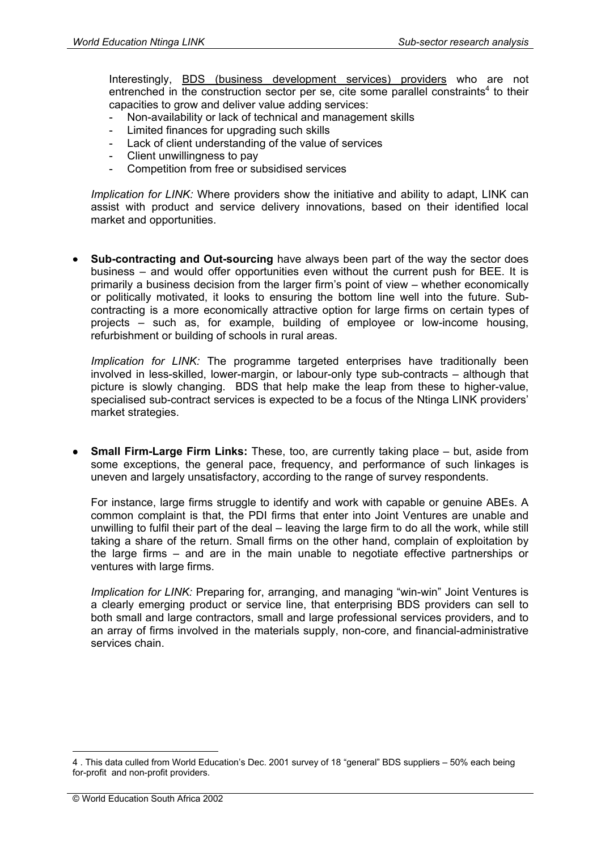Interestingly, BDS (business development services) providers who are not entrenched in the construction sector per se, cite some parallel constraints<sup>4</sup> to their capacities to grow and deliver value adding services:

- Non-availability or lack of technical and management skills
- Limited finances for upgrading such skills
- Lack of client understanding of the value of services
- Client unwillingness to pay
- Competition from free or subsidised services

*Implication for LINK:* Where providers show the initiative and ability to adapt, LINK can assist with product and service delivery innovations, based on their identified local market and opportunities.

**Sub-contracting and Out-sourcing** have always been part of the way the sector does business – and would offer opportunities even without the current push for BEE. It is primarily a business decision from the larger firm's point of view – whether economically or politically motivated, it looks to ensuring the bottom line well into the future. Subcontracting is a more economically attractive option for large firms on certain types of projects – such as, for example, building of employee or low-income housing, refurbishment or building of schools in rural areas.

*Implication for LINK:* The programme targeted enterprises have traditionally been involved in less-skilled, lower-margin, or labour-only type sub-contracts – although that picture is slowly changing. BDS that help make the leap from these to higher-value, specialised sub-contract services is expected to be a focus of the Ntinga LINK providers' market strategies.

• **Small Firm-Large Firm Links:** These, too, are currently taking place – but, aside from some exceptions, the general pace, frequency, and performance of such linkages is uneven and largely unsatisfactory, according to the range of survey respondents.

For instance, large firms struggle to identify and work with capable or genuine ABEs. A common complaint is that, the PDI firms that enter into Joint Ventures are unable and unwilling to fulfil their part of the deal – leaving the large firm to do all the work, while still taking a share of the return. Small firms on the other hand, complain of exploitation by the large firms – and are in the main unable to negotiate effective partnerships or ventures with large firms.

*Implication for LINK:* Preparing for, arranging, and managing "win-win" Joint Ventures is a clearly emerging product or service line, that enterprising BDS providers can sell to both small and large contractors, small and large professional services providers, and to an array of firms involved in the materials supply, non-core, and financial-administrative services chain.

1

<sup>4 .</sup> This data culled from World Education's Dec. 2001 survey of 18 "general" BDS suppliers – 50% each being for-profit and non-profit providers.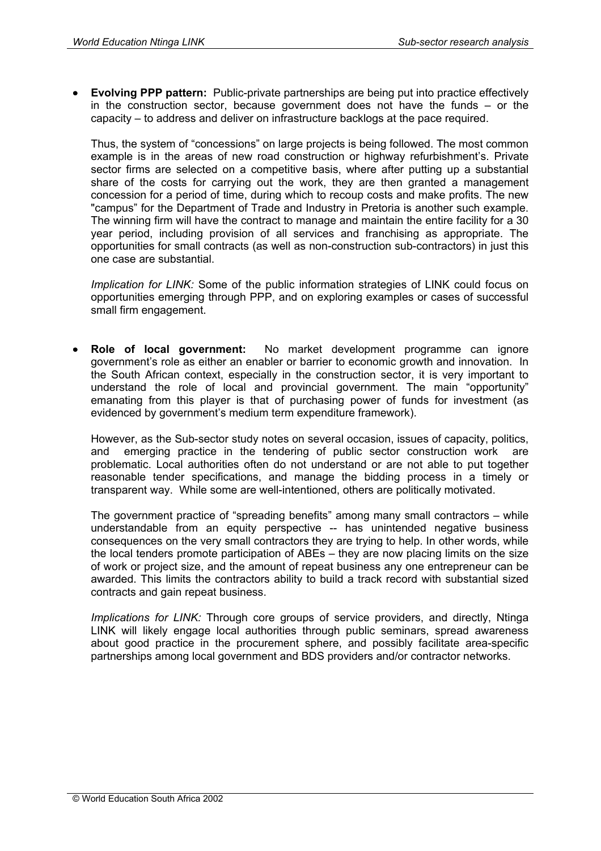• **Evolving PPP pattern:** Public-private partnerships are being put into practice effectively in the construction sector, because government does not have the funds – or the capacity – to address and deliver on infrastructure backlogs at the pace required.

Thus, the system of "concessions" on large projects is being followed. The most common example is in the areas of new road construction or highway refurbishment's. Private sector firms are selected on a competitive basis, where after putting up a substantial share of the costs for carrying out the work, they are then granted a management concession for a period of time, during which to recoup costs and make profits. The new "campus" for the Department of Trade and Industry in Pretoria is another such example. The winning firm will have the contract to manage and maintain the entire facility for a 30 year period, including provision of all services and franchising as appropriate. The opportunities for small contracts (as well as non-construction sub-contractors) in just this one case are substantial.

*Implication for LINK:* Some of the public information strategies of LINK could focus on opportunities emerging through PPP, and on exploring examples or cases of successful small firm engagement.

• **Role of local government:** No market development programme can ignore government's role as either an enabler or barrier to economic growth and innovation. In the South African context, especially in the construction sector, it is very important to understand the role of local and provincial government. The main "opportunity" emanating from this player is that of purchasing power of funds for investment (as evidenced by government's medium term expenditure framework).

However, as the Sub-sector study notes on several occasion, issues of capacity, politics, and emerging practice in the tendering of public sector construction work are problematic. Local authorities often do not understand or are not able to put together reasonable tender specifications, and manage the bidding process in a timely or transparent way. While some are well-intentioned, others are politically motivated.

The government practice of "spreading benefits" among many small contractors – while understandable from an equity perspective -- has unintended negative business consequences on the very small contractors they are trying to help. In other words, while the local tenders promote participation of ABEs – they are now placing limits on the size of work or project size, and the amount of repeat business any one entrepreneur can be awarded. This limits the contractors ability to build a track record with substantial sized contracts and gain repeat business.

*Implications for LINK:* Through core groups of service providers, and directly, Ntinga LINK will likely engage local authorities through public seminars, spread awareness about good practice in the procurement sphere, and possibly facilitate area-specific partnerships among local government and BDS providers and/or contractor networks.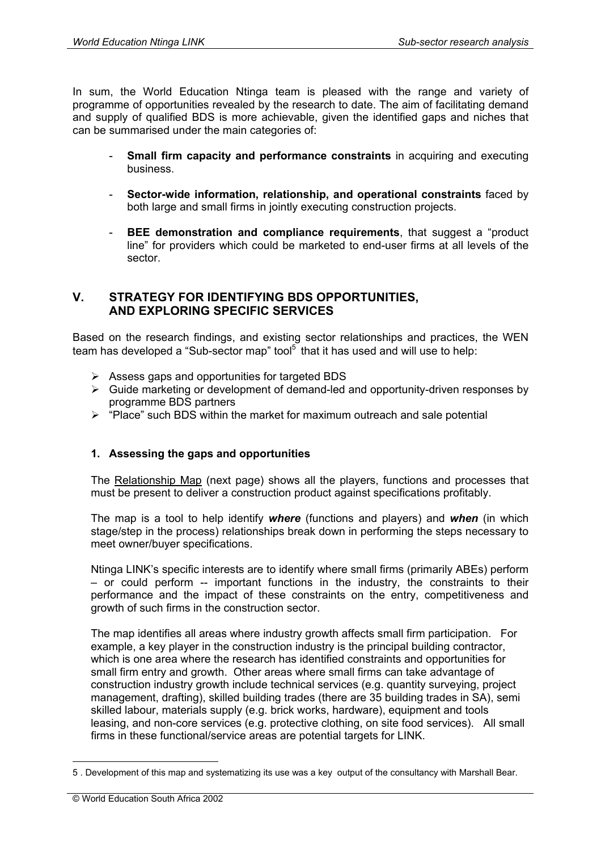In sum, the World Education Ntinga team is pleased with the range and variety of programme of opportunities revealed by the research to date. The aim of facilitating demand and supply of qualified BDS is more achievable, given the identified gaps and niches that can be summarised under the main categories of:

- **Small firm capacity and performance constraints** in acquiring and executing business.
- **Sector-wide information, relationship, and operational constraints** faced by both large and small firms in jointly executing construction projects.
- **BEE demonstration and compliance requirements**, that suggest a "product" line" for providers which could be marketed to end-user firms at all levels of the sector.

### **V. STRATEGY FOR IDENTIFYING BDS OPPORTUNITIES, AND EXPLORING SPECIFIC SERVICES**

Based on the research findings, and existing sector relationships and practices, the WEN team has developed a "Sub-sector map" tool<sup>5</sup> that it has used and will use to help:

- $\triangleright$  Assess gaps and opportunities for targeted BDS
- $\triangleright$  Guide marketing or development of demand-led and opportunity-driven responses by programme BDS partners
- $\triangleright$  "Place" such BDS within the market for maximum outreach and sale potential

# **1. Assessing the gaps and opportunities**

The Relationship Map (next page) shows all the players, functions and processes that must be present to deliver a construction product against specifications profitably.

The map is a tool to help identify *where* (functions and players) and *when* (in which stage/step in the process) relationships break down in performing the steps necessary to meet owner/buyer specifications.

Ntinga LINK's specific interests are to identify where small firms (primarily ABEs) perform – or could perform -- important functions in the industry, the constraints to their performance and the impact of these constraints on the entry, competitiveness and growth of such firms in the construction sector.

The map identifies all areas where industry growth affects small firm participation. For example, a key player in the construction industry is the principal building contractor, which is one area where the research has identified constraints and opportunities for small firm entry and growth. Other areas where small firms can take advantage of construction industry growth include technical services (e.g. quantity surveying, project management, drafting), skilled building trades (there are 35 building trades in SA), semi skilled labour, materials supply (e.g. brick works, hardware), equipment and tools leasing, and non-core services (e.g. protective clothing, on site food services). All small firms in these functional/service areas are potential targets for LINK.

1

<sup>5 .</sup> Development of this map and systematizing its use was a key output of the consultancy with Marshall Bear.